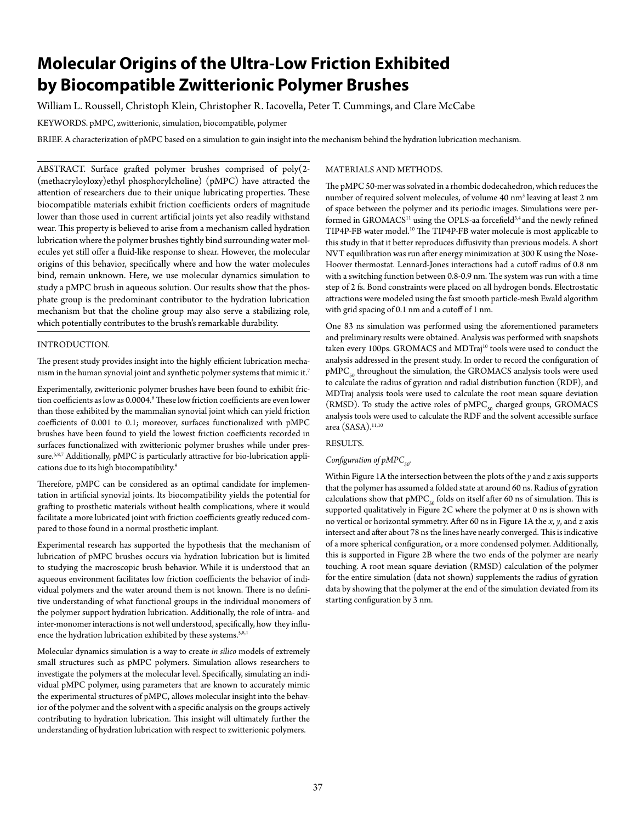# **Molecular Origins of the Ultra-Low Friction Exhibited by Biocompatible Zwitterionic Polymer Brushes**

William L. Roussell, Christoph Klein, Christopher R. Iacovella, Peter T. Cummings, and Clare McCabe

KEYWORDS. pMPC, zwitterionic, simulation, biocompatible, polymer

BRIEF. A characterization of pMPC based on a simulation to gain insight into the mechanism behind the hydration lubrication mechanism.

ABSTRACT. Surface grafted polymer brushes comprised of poly(2- (methacryloyloxy)ethyl phosphorylcholine) (pMPC) have attracted the attention of researchers due to their unique lubricating properties. These biocompatible materials exhibit friction coefficients orders of magnitude lower than those used in current artificial joints yet also readily withstand wear. This property is believed to arise from a mechanism called hydration lubrication where the polymer brushes tightly bind surrounding water molecules yet still offer a fluid-like response to shear. However, the molecular origins of this behavior, specifically where and how the water molecules bind, remain unknown. Here, we use molecular dynamics simulation to study a pMPC brush in aqueous solution. Our results show that the phosphate group is the predominant contributor to the hydration lubrication mechanism but that the choline group may also serve a stabilizing role, which potentially contributes to the brush's remarkable durability.

## INTRODUCTION.

The present study provides insight into the highly efficient lubrication mechanism in the human synovial joint and synthetic polymer systems that mimic it.7

Experimentally, zwitterionic polymer brushes have been found to exhibit friction coefficients as low as 0.0004.6 These low friction coefficients are even lower than those exhibited by the mammalian synovial joint which can yield friction coefficients of 0.001 to 0.1; moreover, surfaces functionalized with pMPC brushes have been found to yield the lowest friction coefficients recorded in surfaces functionalized with zwitterionic polymer brushes while under pressure.<sup>5,8,7</sup> Additionally, pMPC is particularly attractive for bio-lubrication applications due to its high biocompatibility.9

Therefore, pMPC can be considered as an optimal candidate for implementation in artificial synovial joints. Its biocompatibility yields the potential for grafting to prosthetic materials without health complications, where it would facilitate a more lubricated joint with friction coefficients greatly reduced compared to those found in a normal prosthetic implant.

Experimental research has supported the hypothesis that the mechanism of lubrication of pMPC brushes occurs via hydration lubrication but is limited to studying the macroscopic brush behavior. While it is understood that an aqueous environment facilitates low friction coefficients the behavior of individual polymers and the water around them is not known. There is no definitive understanding of what functional groups in the individual monomers of the polymer support hydration lubrication. Additionally, the role of intra- and inter-monomer interactions is not well understood, specifically, how they influence the hydration lubrication exhibited by these systems.<sup>5,8,1</sup>

Molecular dynamics simulation is a way to create *in silico* models of extremely small structures such as pMPC polymers. Simulation allows researchers to investigate the polymers at the molecular level. Specifically, simulating an individual pMPC polymer, using parameters that are known to accurately mimic the experimental structures of pMPC, allows molecular insight into the behavior of the polymer and the solvent with a specific analysis on the groups actively contributing to hydration lubrication. This insight will ultimately further the understanding of hydration lubrication with respect to zwitterionic polymers.

#### MATERIALS AND METHODS.

The pMPC 50-mer was solvated in a rhombic dodecahedron, which reduces the number of required solvent molecules, of volume 40 nm<sup>3</sup> leaving at least 2 nm of space between the polymer and its periodic images. Simulations were performed in GROMACS<sup>11</sup> using the OPLS-aa forcefield<sup>3,4</sup> and the newly refined TIP4P-FB water model.10 The TIP4P-FB water molecule is most applicable to this study in that it better reproduces diffusivity than previous models. A short NVT equilibration was run after energy minimization at 300 K using the Nose-Hoover thermostat. Lennard-Jones interactions had a cutoff radius of 0.8 nm with a switching function between 0.8-0.9 nm. The system was run with a time step of 2 fs. Bond constraints were placed on all hydrogen bonds. Electrostatic attractions were modeled using the fast smooth particle-mesh Ewald algorithm with grid spacing of 0.1 nm and a cutoff of 1 nm.

One 83 ns simulation was performed using the aforementioned parameters and preliminary results were obtained. Analysis was performed with snapshots taken every 100ps. GROMACS and MDTraj<sup>10</sup> tools were used to conduct the analysis addressed in the present study. In order to record the configuration of pMPC<sub>50</sub> throughout the simulation, the GROMACS analysis tools were used to calculate the radius of gyration and radial distribution function (RDF), and MDTraj analysis tools were used to calculate the root mean square deviation (RMSD). To study the active roles of  $pMPC_{50}$  charged groups, GROMACS analysis tools were used to calculate the RDF and the solvent accessible surface area (SASA).<sup>11,10</sup>

## RESULTS.

#### *Configuration of pMPC<sub>50</sub>.*

Within Figure 1A the intersection between the plots of the *y* and *z* axis supports that the polymer has assumed a folded state at around 60 ns. Radius of gyration calculations show that  $pMPC_{50}$  folds on itself after 60 ns of simulation. This is supported qualitatively in Figure 2C where the polymer at 0 ns is shown with no vertical or horizontal symmetry. After 60 ns in Figure 1A the *x*, *y*, and *z* axis intersect and after about 78 ns the lines have nearly converged. This is indicative of a more spherical configuration, or a more condensed polymer. Additionally, this is supported in Figure 2B where the two ends of the polymer are nearly touching. A root mean square deviation (RMSD) calculation of the polymer for the entire simulation (data not shown) supplements the radius of gyration data by showing that the polymer at the end of the simulation deviated from its starting configuration by 3 nm.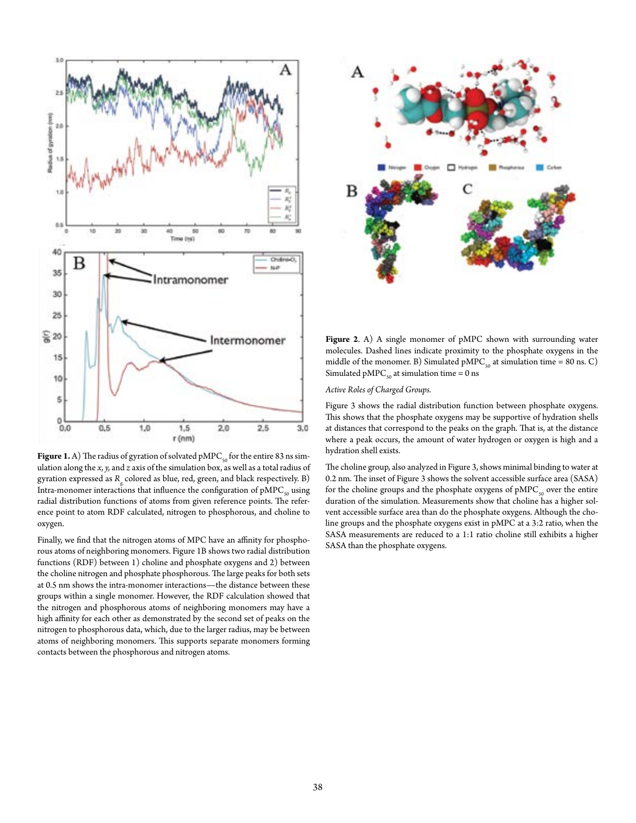

**Figure 1.** A) The radius of gyration of solvated  $p\text{MPC}_{50}$  for the entire 83 ns simulation along the *x, y,* and *z* axis of the simulation box, as well as a total radius of gyration expressed as  $R_{\rm g}^{\rm e}$  colored as blue, red, green, and black respectively. B) Intra-monomer interactions that influence the configuration of  $p\text{MPC}_5$  using radial distribution functions of atoms from given reference points. The reference point to atom RDF calculated, nitrogen to phosphorous, and choline to oxygen.

Finally, we find that the nitrogen atoms of MPC have an affinity for phosphorous atoms of neighboring monomers. Figure 1B shows two radial distribution functions (RDF) between 1) choline and phosphate oxygens and 2) between the choline nitrogen and phosphate phosphorous. The large peaks for both sets at 0.5 nm shows the intra-monomer interactions—the distance between these groups within a single monomer. However, the RDF calculation showed that the nitrogen and phosphorous atoms of neighboring monomers may have a high affinity for each other as demonstrated by the second set of peaks on the nitrogen to phosphorous data, which, due to the larger radius, may be between atoms of neighboring monomers. This supports separate monomers forming contacts between the phosphorous and nitrogen atoms.



**Figure 2**. A) A single monomer of pMPC shown with surrounding water molecules. Dashed lines indicate proximity to the phosphate oxygens in the middle of the monomer. B) Simulated  $p\text{MPC}_{50}$  at simulation time = 80 ns. C) Simulated  $pMPC_{50}$  at simulation time = 0 ns

*Active Roles of Charged Groups.*

Figure 3 shows the radial distribution function between phosphate oxygens. This shows that the phosphate oxygens may be supportive of hydration shells at distances that correspond to the peaks on the graph. That is, at the distance where a peak occurs, the amount of water hydrogen or oxygen is high and a hydration shell exists.

The choline group, also analyzed in Figure 3, shows minimal binding to water at 0.2 nm. The inset of Figure 3 shows the solvent accessible surface area (SASA) for the choline groups and the phosphate oxygens of  $p\text{MPC}_{50}$  over the entire duration of the simulation. Measurements show that choline has a higher solvent accessible surface area than do the phosphate oxygens. Although the choline groups and the phosphate oxygens exist in pMPC at a 3:2 ratio, when the SASA measurements are reduced to a 1:1 ratio choline still exhibits a higher SASA than the phosphate oxygens.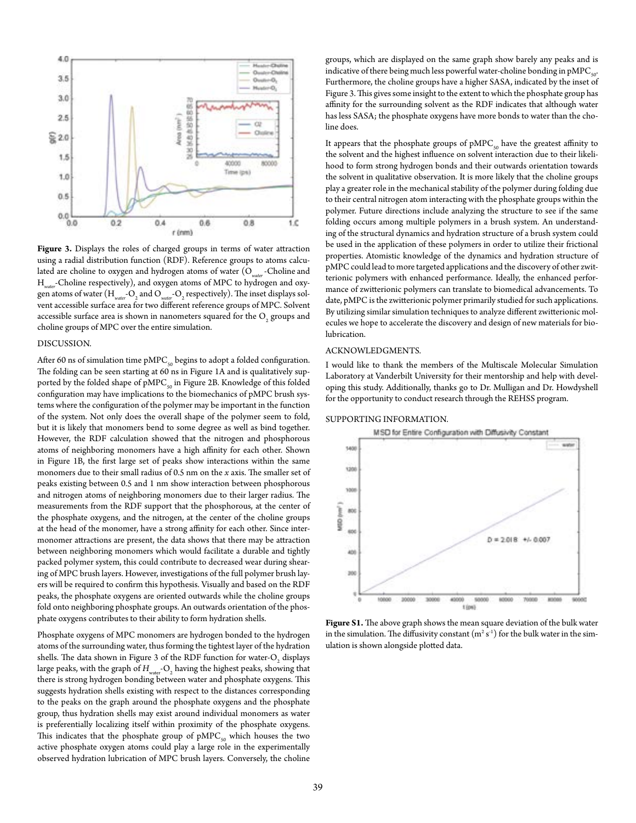

**Figure 3.** Displays the roles of charged groups in terms of water attraction using a radial distribution function (RDF). Reference groups to atoms calculated are choline to oxygen and hydrogen atoms of water (O*water* -Choline and H*water*-Choline respectively), and oxygen atoms of MPC to hydrogen and oxygen atoms of water (H<sub>water</sub>-O<sub>2</sub> and O<sub>water</sub>-O<sub>2</sub> respectively). The inset displays solvent accessible surface area for two different reference groups of MPC. Solvent accessible surface area is shown in nanometers squared for the  $\mathrm{O}_2$  groups and choline groups of MPC over the entire simulation.

## DISCUSSION.

After 60 ns of simulation time  $pMPC_{50}$  begins to adopt a folded configuration. The folding can be seen starting at 60 ns in Figure 1A and is qualitatively supported by the folded shape of pMPC<sub>50</sub> in Figure 2B. Knowledge of this folded configuration may have implications to the biomechanics of pMPC brush systems where the configuration of the polymer may be important in the function of the system. Not only does the overall shape of the polymer seem to fold, but it is likely that monomers bend to some degree as well as bind together. However, the RDF calculation showed that the nitrogen and phosphorous atoms of neighboring monomers have a high affinity for each other. Shown in Figure 1B, the first large set of peaks show interactions within the same monomers due to their small radius of 0.5 nm on the *x* axis. The smaller set of peaks existing between 0.5 and 1 nm show interaction between phosphorous and nitrogen atoms of neighboring monomers due to their larger radius. The measurements from the RDF support that the phosphorous, at the center of the phosphate oxygens, and the nitrogen, at the center of the choline groups at the head of the monomer, have a strong affinity for each other. Since intermonomer attractions are present, the data shows that there may be attraction between neighboring monomers which would facilitate a durable and tightly packed polymer system, this could contribute to decreased wear during shearing of MPC brush layers. However, investigations of the full polymer brush layers will be required to confirm this hypothesis. Visually and based on the RDF peaks, the phosphate oxygens are oriented outwards while the choline groups fold onto neighboring phosphate groups. An outwards orientation of the phosphate oxygens contributes to their ability to form hydration shells.

Phosphate oxygens of MPC monomers are hydrogen bonded to the hydrogen atoms of the surrounding water, thus forming the tightest layer of the hydration shells. The data shown in Figure 3 of the RDF function for water- $O_{_2}$  displays large peaks, with the graph of  $H_{_{\rm water}}\text{-}\mathrm{O}_{_2}$  having the highest peaks, showing that there is strong hydrogen bonding between water and phosphate oxygens. This suggests hydration shells existing with respect to the distances corresponding to the peaks on the graph around the phosphate oxygens and the phosphate group, thus hydration shells may exist around individual monomers as water is preferentially localizing itself within proximity of the phosphate oxygens. This indicates that the phosphate group of  $pMPC_{50}$  which houses the two active phosphate oxygen atoms could play a large role in the experimentally observed hydration lubrication of MPC brush layers. Conversely, the choline

groups, which are displayed on the same graph show barely any peaks and is indicative of there being much less powerful water-choline bonding in  $p\text{MPC}_{\text{so}}$ . Furthermore, the choline groups have a higher SASA, indicated by the inset of Figure 3. This gives some insight to the extent to which the phosphate group has affinity for the surrounding solvent as the RDF indicates that although water has less SASA; the phosphate oxygens have more bonds to water than the choline does.

It appears that the phosphate groups of  $pMPC_{50}$  have the greatest affinity to the solvent and the highest influence on solvent interaction due to their likelihood to form strong hydrogen bonds and their outwards orientation towards the solvent in qualitative observation. It is more likely that the choline groups play a greater role in the mechanical stability of the polymer during folding due to their central nitrogen atom interacting with the phosphate groups within the polymer. Future directions include analyzing the structure to see if the same folding occurs among multiple polymers in a brush system. An understanding of the structural dynamics and hydration structure of a brush system could be used in the application of these polymers in order to utilize their frictional properties. Atomistic knowledge of the dynamics and hydration structure of pMPC could lead to more targeted applications and the discovery of other zwitterionic polymers with enhanced performance. Ideally, the enhanced performance of zwitterionic polymers can translate to biomedical advancements. To date, pMPC is the zwitterionic polymer primarily studied for such applications. By utilizing similar simulation techniques to analyze different zwitterionic molecules we hope to accelerate the discovery and design of new materials for biolubrication.

#### ACKNOWLEDGMENTS.

I would like to thank the members of the Multiscale Molecular Simulation Laboratory at Vanderbilt University for their mentorship and help with developing this study. Additionally, thanks go to Dr. Mulligan and Dr. Howdyshell for the opportunity to conduct research through the REHSS program.

#### SUPPORTING INFORMATION.



**Figure S1.** The above graph shows the mean square deviation of the bulk water in the simulation. The diffusivity constant  $(\mathrm{m}^2\,\mathrm{s}^{\text{-}1})$  for the bulk water in the simulation is shown alongside plotted data.